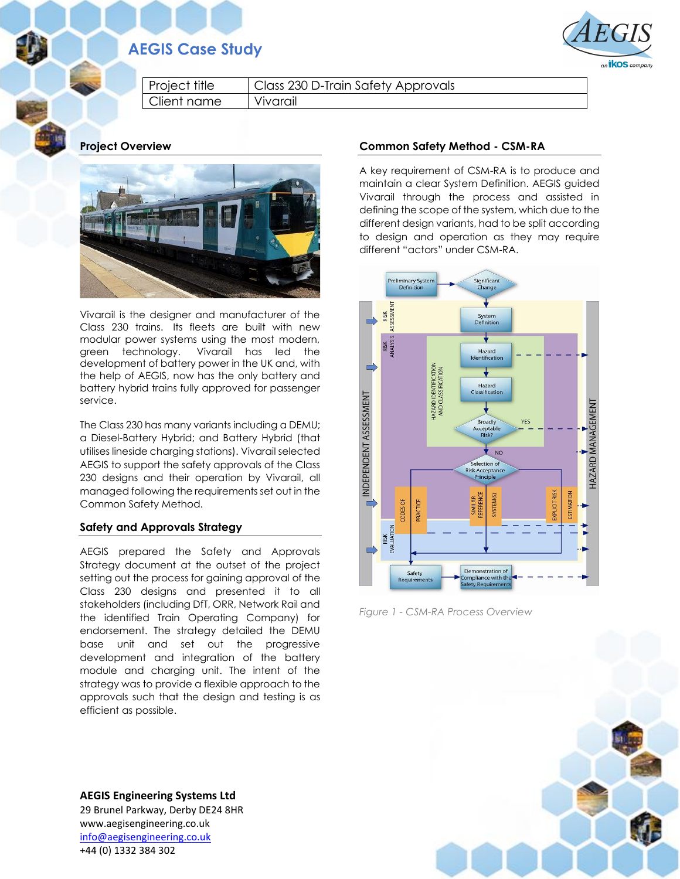# **AEGIS Case Study**



Project title | Class 230 D-Train Safety Approvals Client name Vivarail

**Project Overview**



Vivarail is the designer and manufacturer of the Class 230 trains. Its fleets are built with new modular power systems using the most modern, green technology. Vivarail has led the development of battery power in the UK and, with the help of AEGIS, now has the only battery and battery hybrid trains fully approved for passenger service.

The Class 230 has many variants including a DEMU; a Diesel-Battery Hybrid; and Battery Hybrid (that utilises lineside charging stations). Vivarail selected AEGIS to support the safety approvals of the Class 230 designs and their operation by Vivarail, all managed following the requirements set out in the Common Safety Method.

## **Safety and Approvals Strategy**

AEGIS prepared the Safety and Approvals Strategy document at the outset of the project setting out the process for gaining approval of the Class 230 designs and presented it to all stakeholders (including DfT, ORR, Network Rail and the identified Train Operating Company) for endorsement. The strategy detailed the DEMU base unit and set out the progressive development and integration of the battery module and charging unit. The intent of the strategy was to provide a flexible approach to the approvals such that the design and testing is as efficient as possible.

**AEGIS Engineering Systems Ltd** 29 Brunel Parkway, Derby DE24 8HR www.aegisengineering.co.uk [info@aegisengineering.co.uk](mailto:info@aegisengineering.co.uk) +44 (0) 1332 384 302

#### **Common Safety Method - CSM-RA**

A key requirement of CSM-RA is to produce and maintain a clear System Definition. AEGIS guided Vivarail through the process and assisted in defining the scope of the system, which due to the different design variants, had to be split according to design and operation as they may require different "actors" under CSM-RA.



*Figure 1 - CSM-RA Process Overview*